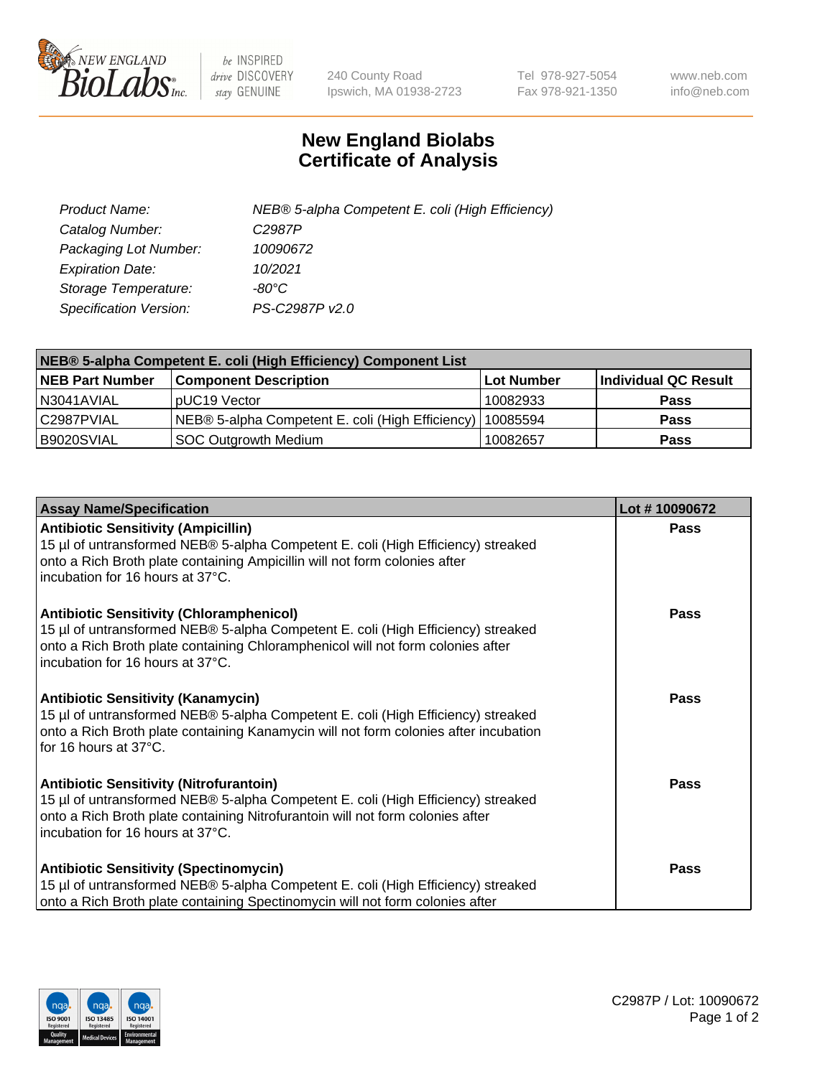

 $be$  INSPIRED drive DISCOVERY stay GENUINE

240 County Road Ipswich, MA 01938-2723 Tel 978-927-5054 Fax 978-921-1350 www.neb.com info@neb.com

## **New England Biolabs Certificate of Analysis**

| Product Name:                 | NEB® 5-alpha Competent E. coli (High Efficiency) |
|-------------------------------|--------------------------------------------------|
| Catalog Number:               | C <sub>2987</sub> P                              |
| Packaging Lot Number:         | 10090672                                         |
| <b>Expiration Date:</b>       | 10/2021                                          |
| Storage Temperature:          | -80°C                                            |
| <b>Specification Version:</b> | PS-C2987P v2.0                                   |

| NEB® 5-alpha Competent E. coli (High Efficiency) Component List |                                                  |            |                      |  |  |
|-----------------------------------------------------------------|--------------------------------------------------|------------|----------------------|--|--|
| <b>NEB Part Number</b>                                          | <b>Component Description</b>                     | Lot Number | Individual QC Result |  |  |
| N3041AVIAL                                                      | pUC19 Vector                                     | 10082933   | <b>Pass</b>          |  |  |
| C2987PVIAL                                                      | NEB® 5-alpha Competent E. coli (High Efficiency) | 10085594   | <b>Pass</b>          |  |  |
| B9020SVIAL                                                      | <b>SOC Outgrowth Medium</b>                      | 10082657   | <b>Pass</b>          |  |  |

| <b>Assay Name/Specification</b>                                                                                                                                                                                                                            | Lot #10090672 |
|------------------------------------------------------------------------------------------------------------------------------------------------------------------------------------------------------------------------------------------------------------|---------------|
| <b>Antibiotic Sensitivity (Ampicillin)</b><br>15 µl of untransformed NEB® 5-alpha Competent E. coli (High Efficiency) streaked<br>onto a Rich Broth plate containing Ampicillin will not form colonies after<br>incubation for 16 hours at 37°C.           | <b>Pass</b>   |
| <b>Antibiotic Sensitivity (Chloramphenicol)</b><br>15 µl of untransformed NEB® 5-alpha Competent E. coli (High Efficiency) streaked<br>onto a Rich Broth plate containing Chloramphenicol will not form colonies after<br>incubation for 16 hours at 37°C. | <b>Pass</b>   |
| <b>Antibiotic Sensitivity (Kanamycin)</b><br>15 µl of untransformed NEB® 5-alpha Competent E. coli (High Efficiency) streaked<br>onto a Rich Broth plate containing Kanamycin will not form colonies after incubation<br>for 16 hours at 37°C.             | Pass          |
| <b>Antibiotic Sensitivity (Nitrofurantoin)</b><br>15 µl of untransformed NEB® 5-alpha Competent E. coli (High Efficiency) streaked<br>onto a Rich Broth plate containing Nitrofurantoin will not form colonies after<br>incubation for 16 hours at 37°C.   | Pass          |
| <b>Antibiotic Sensitivity (Spectinomycin)</b><br>15 µl of untransformed NEB® 5-alpha Competent E. coli (High Efficiency) streaked<br>onto a Rich Broth plate containing Spectinomycin will not form colonies after                                         | Pass          |